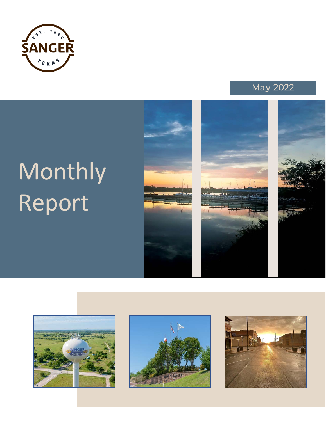



# Monthly Report











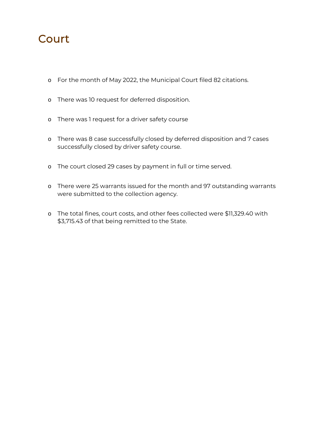# **Court**

- o For the month of May 2022, the Municipal Court filed 82 citations.
- o There was 10 request for deferred disposition.
- o There was 1 request for a driver safety course
- o There was 8 case successfully closed by deferred disposition and 7 cases successfully closed by driver safety course.
- o The court closed 29 cases by payment in full or time served.
- o There were 25 warrants issued for the month and 97 outstanding warrants were submitted to the collection agency.
- o The total fines, court costs, and other fees collected were \$11,329.40 with \$3,715.43 of that being remitted to the State.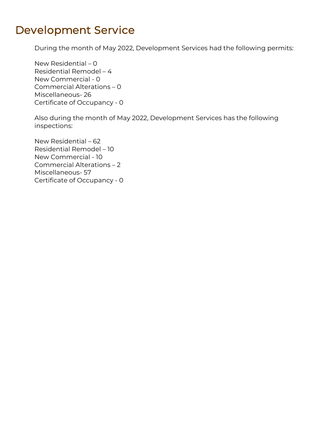## Development Service

During the month of May 2022, Development Services had the following permits:

New Residential – 0 Residential Remodel – 4 New Commercial - 0 Commercial Alterations – 0 Miscellaneous- 26 Certificate of Occupancy - 0

Also during the month of May 2022, Development Services has the following inspections:

New Residential – 62 Residential Remodel – 10 New Commercial - 10 Commercial Alterations – 2 Miscellaneous- 57 Certificate of Occupancy - 0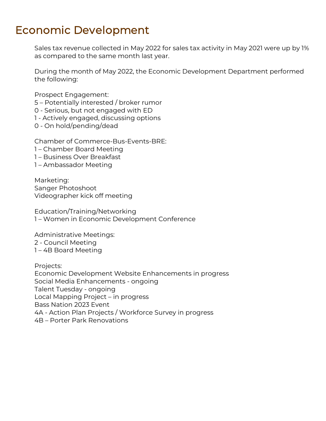## Economic Development

Sales tax revenue collected in May 2022 for sales tax activity in May 2021 were up by 1% as compared to the same month last year.

During the month of May 2022, the Economic Development Department performed the following:

Prospect Engagement:

5 – Potentially interested / broker rumor

0 - Serious, but not engaged with ED

1 - Actively engaged, discussing options

0 - On hold/pending/dead

Chamber of Commerce-Bus-Events-BRE:

- 1 Chamber Board Meeting
- 1 Business Over Breakfast
- 1 Ambassador Meeting

Marketing: Sanger Photoshoot Videographer kick off meeting

Education/Training/Networking 1 – Women in Economic Development Conference

Administrative Meetings: 2 - Council Meeting 1 – 4B Board Meeting

Projects: Economic Development Website Enhancements in progress Social Media Enhancements - ongoing Talent Tuesday - ongoing Local Mapping Project – in progress Bass Nation 2023 Event 4A - Action Plan Projects / Workforce Survey in progress 4B – Porter Park Renovations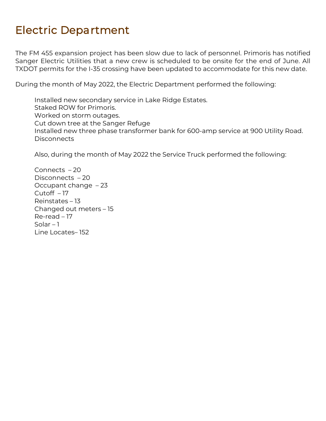# Electric Department

The FM 455 expansion project has been slow due to lack of personnel. Primoris has notified Sanger Electric Utilities that a new crew is scheduled to be onsite for the end of June. All TXDOT permits for the I-35 crossing have been updated to accommodate for this new date.

During the month of May 2022, the Electric Department performed the following:

Installed new secondary service in Lake Ridge Estates. Staked ROW for Primoris. Worked on storm outages. Cut down tree at the Sanger Refuge Installed new three phase transformer bank for 600-amp service at 900 Utility Road. **Disconnects** 

Also, during the month of May 2022 the Service Truck performed the following:

Connects – 20 Disconnects – 20 Occupant change – 23 Cutoff – 17 Reinstates – 13 Changed out meters – 15 Re-read – 17 Solar  $-1$ Line Locates– 152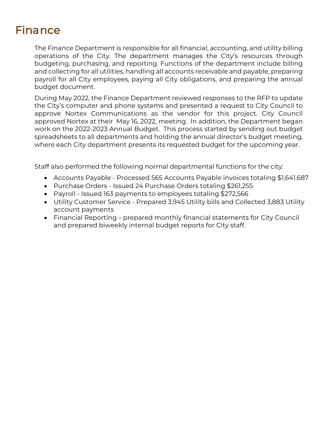# **Finance**

The Finance Department is responsible for all financial, accounting, and utility billing operations of the City. The department manages the City's resources through budgeting, purchasing, and reporting. Functions of the department include billing and collecting for all utilities, handling all accounts receivable and payable, preparing payroll for all City employees, paying all City obligations, and preparing the annual budget document.

During May 2022, the Finance Department reviewed responses to the RFP to update the City's computer and phone systems and presented a request to City Council to approve Nortex Communications as the vendor for this project. City Council approved Nortex at their May 16, 2022, meeting. In addition, the Department began work on the 2022-2023 Annual Budget. This process started by sending out budget spreadsheets to all departments and holding the annual director's budget meeting, where each City department presents its requested budget for the upcoming year.

Staff also performed the following normal departmental functions for the city:

- Accounts Payable Processed 565 Accounts Payable invoices totaling \$1,641,687
- Purchase Orders Issued 24 Purchase Orders totaling \$261,255
- Payroll Issued 163 payments to employees totaling \$272,566
- Utility Customer Service Prepared 3,945 Utility bills and Collected 3,883 Utility account payments
- Financial Reporting prepared monthly financial statements for City Council and prepared biweekly internal budget reports for City staff.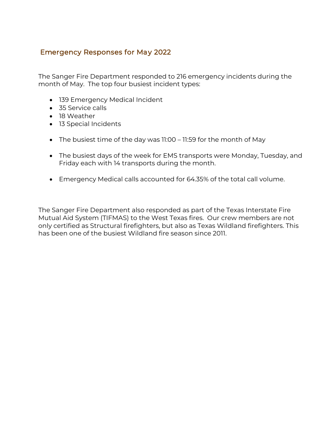### Emergency Responses for May 2022

The Sanger Fire Department responded to 216 emergency incidents during the month of May. The top four busiest incident types:

- 139 Emergency Medical Incident
- 35 Service calls
- 18 Weather
- 13 Special Incidents
- The busiest time of the day was 11:00 11:59 for the month of May
- The busiest days of the week for EMS transports were Monday, Tuesday, and Friday each with 14 transports during the month.
- Emergency Medical calls accounted for 64.35% of the total call volume.

The Sanger Fire Department also responded as part of the Texas Interstate Fire Mutual Aid System (TIFMAS) to the West Texas fires. Our crew members are not only certified as Structural firefighters, but also as Texas Wildland firefighters. This has been one of the busiest Wildland fire season since 2011.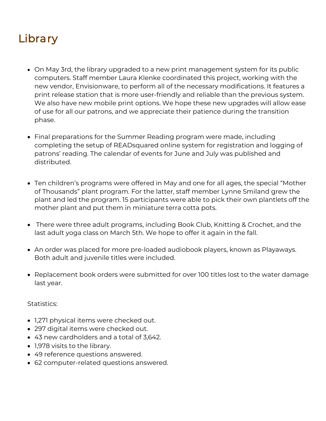# **Library**

- On May 3rd, the library upgraded to a new print management system for its public computers. Staff member Laura Klenke coordinated this project, working with the new vendor, Envisionware, to perform all of the necessary modifications. It features a print release station that is more user-friendly and reliable than the previous system. We also have new mobile print options. We hope these new upgrades will allow ease of use for all our patrons, and we appreciate their patience during the transition phase.
- Final preparations for the Summer Reading program were made, including completing the setup of READsquared online system for registration and logging of patrons' reading. The calendar of events for June and July was published and distributed.
- Ten children's programs were offered in May and one for all ages, the special "Mother of Thousands" plant program. For the latter, staff member Lynne Smiland grew the plant and led the program. 15 participants were able to pick their own plantlets off the mother plant and put them in miniature terra cotta pots.
- There were three adult programs, including Book Club, Knitting & Crochet, and the last adult yoga class on March 5th. We hope to offer it again in the fall.
- An order was placed for more pre-loaded audiobook players, known as Playaways. Both adult and juvenile titles were included.
- Replacement book orders were submitted for over 100 titles lost to the water damage last year.

Statistics:

- 1,271 physical items were checked out.
- 297 digital items were checked out.
- 43 new cardholders and a total of 3,642.
- 1,978 visits to the library.
- 49 reference questions answered.
- 62 computer-related questions answered.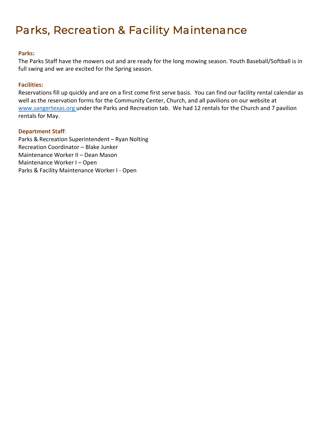# Parks, Recreation & Facility Maintenance

#### **Parks:**

The Parks Staff have the mowers out and are ready for the long mowing season. Youth Baseball/Softball is in full swing and we are excited for the Spring season.

#### **Facilities:**

Reservations fill up quickly and are on a first come first serve basis. You can find our facility rental calendar as well as the reservation forms for the Community Center, Church, and all pavilions on our website at www.sangertexas.org under the Parks and Recreation tab. We had 12 rentals for the Church and 7 pavilion rentals for May.

#### **Department Staff**:

Parks & Recreation Superintendent – Ryan Nolting Recreation Coordinator – Blake Junker Maintenance Worker II – Dean Mason Maintenance Worker I – Open Parks & Facility Maintenance Worker I - Open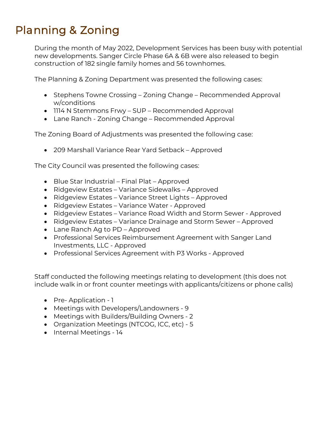# Planning & Zoning

During the month of May 2022, Development Services has been busy with potential new developments. Sanger Circle Phase 6A & 6B were also released to begin construction of 182 single family homes and 56 townhomes.

The Planning & Zoning Department was presented the following cases:

- Stephens Towne Crossing Zoning Change Recommended Approval w/conditions
- 1114 N Stemmons Frwy SUP Recommended Approval
- Lane Ranch Zoning Change Recommended Approval

The Zoning Board of Adjustments was presented the following case:

• 209 Marshall Variance Rear Yard Setback – Approved

The City Council was presented the following cases:

- Blue Star Industrial Final Plat Approved
- Ridgeview Estates Variance Sidewalks Approved
- Ridgeview Estates Variance Street Lights Approved
- Ridgeview Estates Variance Water Approved
- Ridgeview Estates Variance Road Width and Storm Sewer Approved
- Ridgeview Estates Variance Drainage and Storm Sewer Approved
- Lane Ranch Ag to PD Approved
- Professional Services Reimbursement Agreement with Sanger Land Investments, LLC - Approved
- Professional Services Agreement with P3 Works Approved

Staff conducted the following meetings relating to development (this does not include walk in or front counter meetings with applicants/citizens or phone calls)

- Pre-Application 1
- Meetings with Developers/Landowners 9
- Meetings with Builders/Building Owners 2
- Organization Meetings (NTCOG, ICC, etc) 5
- Internal Meetings 14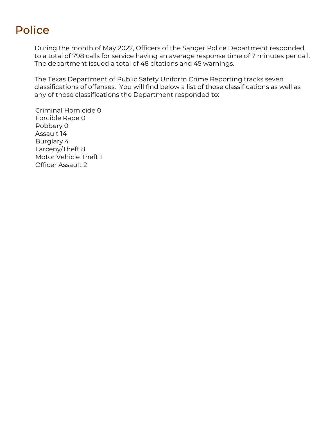# Police

During the month of May 2022, Officers of the Sanger Police Department responded to a total of 798 calls for service having an average response time of 7 minutes per call. The department issued a total of 48 citations and 45 warnings.

The Texas Department of Public Safety Uniform Crime Reporting tracks seven classifications of offenses. You will find below a list of those classifications as well as any of those classifications the Department responded to:

 Criminal Homicide 0 Forcible Rape 0 Robbery 0 Assault 14 Burglary 4 Larceny/Theft 8 Motor Vehicle Theft 1 Officer Assault 2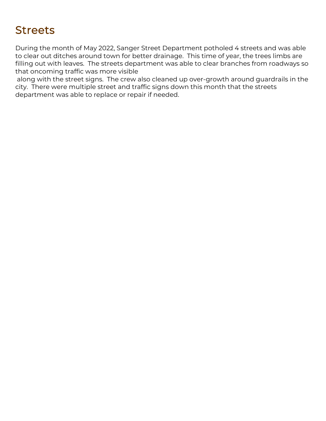# **Streets**

During the month of May 2022, Sanger Street Department potholed 4 streets and was able to clear out ditches around town for better drainage. This time of year, the trees limbs are filling out with leaves. The streets department was able to clear branches from roadways so that oncoming traffic was more visible

along with the street signs. The crew also cleaned up over-growth around guardrails in the city. There were multiple street and traffic signs down this month that the streets department was able to replace or repair if needed.